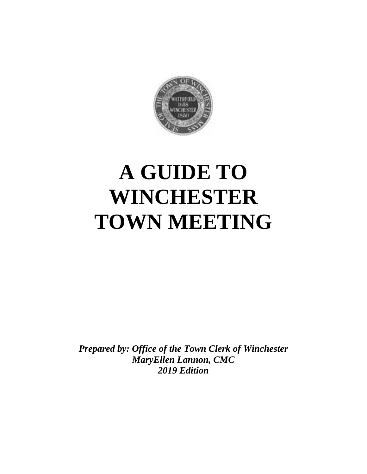

# **A GUIDE TO WINCHESTER TOWN MEETING**

*Prepared by: Office of the Town Clerk of Winchester MaryEllen Lannon, CMC 2019 Edition*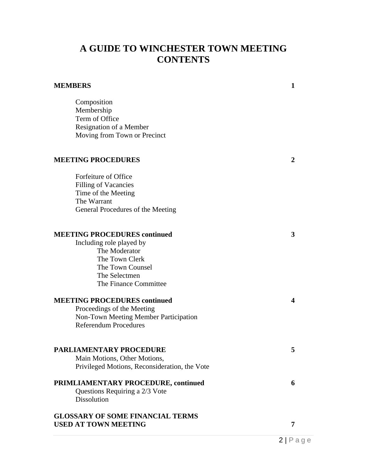# **A GUIDE TO WINCHESTER TOWN MEETING CONTENTS**

| <b>MEMBERS</b>                                                                                                                             | 1 |
|--------------------------------------------------------------------------------------------------------------------------------------------|---|
| Composition<br>Membership<br>Term of Office<br>Resignation of a Member<br>Moving from Town or Precinct                                     |   |
| <b>MEETING PROCEDURES</b>                                                                                                                  | 2 |
| Forfeiture of Office<br><b>Filling of Vacancies</b><br>Time of the Meeting<br>The Warrant<br>General Procedures of the Meeting             |   |
| <b>MEETING PROCEDURES continued</b><br>Including role played by<br>The Moderator<br>The Town Clerk<br>The Town Counsel<br>The Selectmen    | 3 |
| The Finance Committee                                                                                                                      |   |
| <b>MEETING PROCEDURES continued</b><br>Proceedings of the Meeting<br>Non-Town Meeting Member Participation<br><b>Referendum Procedures</b> | 4 |
| <b>PARLIAMENTARY PROCEDURE</b><br>Main Motions, Other Motions,<br>Privileged Motions, Reconsideration, the Vote                            | 5 |
| PRIMLIAMENTARY PROCEDURE, continued<br>Questions Requiring a 2/3 Vote<br><b>Dissolution</b>                                                | 6 |
| <b>GLOSSARY OF SOME FINANCIAL TERMS</b><br><b>USED AT TOWN MEETING</b>                                                                     | 7 |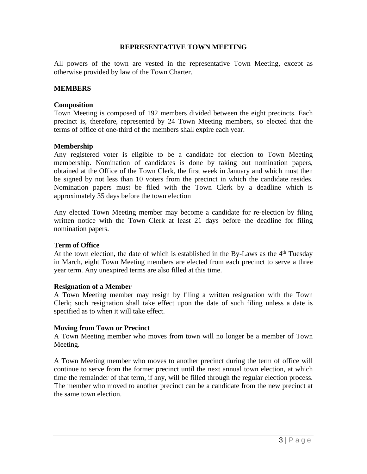# **REPRESENTATIVE TOWN MEETING**

All powers of the town are vested in the representative Town Meeting, except as otherwise provided by law of the Town Charter.

# **MEMBERS**

#### **Composition**

Town Meeting is composed of 192 members divided between the eight precincts. Each precinct is, therefore, represented by 24 Town Meeting members, so elected that the terms of office of one-third of the members shall expire each year.

# **Membership**

Any registered voter is eligible to be a candidate for election to Town Meeting membership. Nomination of candidates is done by taking out nomination papers, obtained at the Office of the Town Clerk, the first week in January and which must then be signed by not less than 10 voters from the precinct in which the candidate resides. Nomination papers must be filed with the Town Clerk by a deadline which is approximately 35 days before the town election

Any elected Town Meeting member may become a candidate for re-election by filing written notice with the Town Clerk at least 21 days before the deadline for filing nomination papers.

# **Term of Office**

At the town election, the date of which is established in the By-Laws as the 4<sup>th</sup> Tuesday in March, eight Town Meeting members are elected from each precinct to serve a three year term. Any unexpired terms are also filled at this time.

# **Resignation of a Member**

A Town Meeting member may resign by filing a written resignation with the Town Clerk; such resignation shall take effect upon the date of such filing unless a date is specified as to when it will take effect.

# **Moving from Town or Precinct**

A Town Meeting member who moves from town will no longer be a member of Town Meeting.

A Town Meeting member who moves to another precinct during the term of office will continue to serve from the former precinct until the next annual town election, at which time the remainder of that term, if any, will be filled through the regular election process. The member who moved to another precinct can be a candidate from the new precinct at the same town election.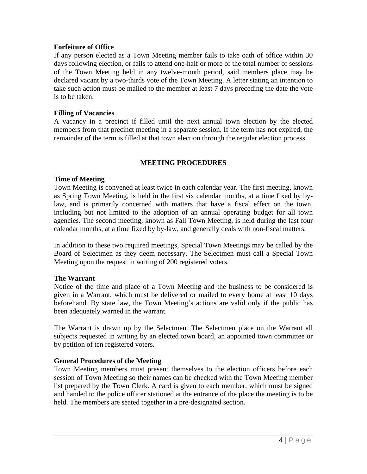# **Forfeiture of Office**

If any person elected as a Town Meeting member fails to take oath of office within 30 days following election, or fails to attend one-half or more of the total number of sessions of the Town Meeting held in any twelve-month period, said members place may be declared vacant by a two-thirds vote of the Town Meeting. A letter stating an intention to take such action must be mailed to the member at least 7 days preceding the date the vote is to be taken.

# **Filling of Vacancies**

A vacancy in a precinct if filled until the next annual town election by the elected members from that precinct meeting in a separate session. If the term has not expired, the remainder of the term is filled at that town election through the regular election process.

# **MEETING PROCEDURES**

# **Time of Meeting**

Town Meeting is convened at least twice in each calendar year. The first meeting, known as Spring Town Meeting, is held in the first six calendar months, at a time fixed by bylaw, and is primarily concerned with matters that have a fiscal effect on the town, including but not limited to the adoption of an annual operating budget for all town agencies. The second meeting, known as Fall Town Meeting, is held during the last four calendar months, at a time fixed by by-law, and generally deals with non-fiscal matters.

In addition to these two required meetings, Special Town Meetings may be called by the Board of Selectmen as they deem necessary. The Selectmen must call a Special Town Meeting upon the request in writing of 200 registered voters.

#### **The Warrant**

Notice of the time and place of a Town Meeting and the business to be considered is given in a Warrant, which must be delivered or mailed to every home at least 10 days beforehand. By state law, the Town Meeting's actions are valid only if the public has been adequately warned in the warrant.

The Warrant is drawn up by the Selectmen. The Selectmen place on the Warrant all subjects requested in writing by an elected town board, an appointed town committee or by petition of ten registered voters.

# **General Procedures of the Meeting**

Town Meeting members must present themselves to the election officers before each session of Town Meeting so their names can be checked with the Town Meeting member list prepared by the Town Clerk. A card is given to each member, which must be signed and handed to the police officer stationed at the entrance of the place the meeting is to be held. The members are seated together in a pre-designated section.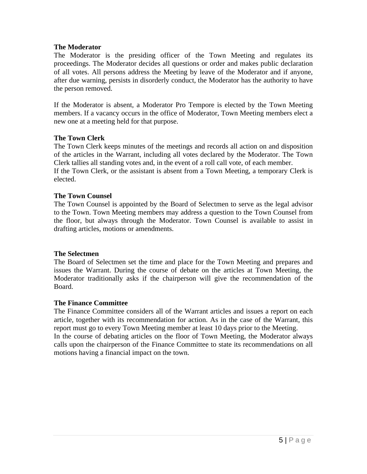# **The Moderator**

The Moderator is the presiding officer of the Town Meeting and regulates its proceedings. The Moderator decides all questions or order and makes public declaration of all votes. All persons address the Meeting by leave of the Moderator and if anyone, after due warning, persists in disorderly conduct, the Moderator has the authority to have the person removed.

If the Moderator is absent, a Moderator Pro Tempore is elected by the Town Meeting members. If a vacancy occurs in the office of Moderator, Town Meeting members elect a new one at a meeting held for that purpose.

# **The Town Clerk**

The Town Clerk keeps minutes of the meetings and records all action on and disposition of the articles in the Warrant, including all votes declared by the Moderator. The Town Clerk tallies all standing votes and, in the event of a roll call vote, of each member. If the Town Clerk, or the assistant is absent from a Town Meeting, a temporary Clerk is elected.

# **The Town Counsel**

The Town Counsel is appointed by the Board of Selectmen to serve as the legal advisor to the Town. Town Meeting members may address a question to the Town Counsel from the floor, but always through the Moderator. Town Counsel is available to assist in drafting articles, motions or amendments.

#### **The Selectmen**

The Board of Selectmen set the time and place for the Town Meeting and prepares and issues the Warrant. During the course of debate on the articles at Town Meeting, the Moderator traditionally asks if the chairperson will give the recommendation of the Board.

#### **The Finance Committee**

The Finance Committee considers all of the Warrant articles and issues a report on each article, together with its recommendation for action. As in the case of the Warrant, this report must go to every Town Meeting member at least 10 days prior to the Meeting. In the course of debating articles on the floor of Town Meeting, the Moderator always calls upon the chairperson of the Finance Committee to state its recommendations on all motions having a financial impact on the town.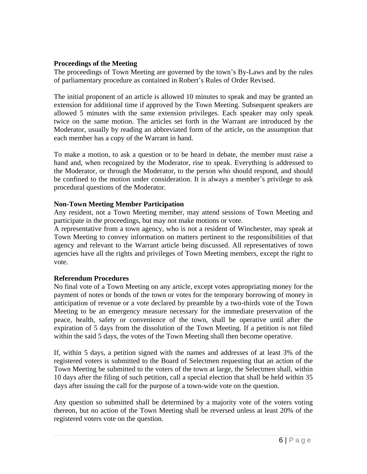# **Proceedings of the Meeting**

The proceedings of Town Meeting are governed by the town's By-Laws and by the rules of parliamentary procedure as contained in Robert's Rules of Order Revised.

The initial proponent of an article is allowed 10 minutes to speak and may be granted an extension for additional time if approved by the Town Meeting. Subsequent speakers are allowed 5 minutes with the same extension privileges. Each speaker may only speak twice on the same motion. The articles set forth in the Warrant are introduced by the Moderator, usually by reading an abbreviated form of the article, on the assumption that each member has a copy of the Warrant in hand.

To make a motion, to ask a question or to be heard in debate, the member must raise a hand and, when recognized by the Moderator, rise to speak. Everything is addressed to the Moderator, or through the Moderator, to the person who should respond, and should be confined to the motion under consideration. It is always a member's privilege to ask procedural questions of the Moderator.

# **Non-Town Meeting Member Participation**

Any resident, not a Town Meeting member, may attend sessions of Town Meeting and participate in the proceedings, but may not make motions or vote.

A representative from a town agency, who is not a resident of Winchester, may speak at Town Meeting to convey information on matters pertinent to the responsibilities of that agency and relevant to the Warrant article being discussed. All representatives of town agencies have all the rights and privileges of Town Meeting members, except the right to vote.

# **Referendum Procedures**

No final vote of a Town Meeting on any article, except votes appropriating money for the payment of notes or bonds of the town or votes for the temporary borrowing of money in anticipation of revenue or a vote declared by preamble by a two-thirds vote of the Town Meeting to be an emergency measure necessary for the immediate preservation of the peace, health, safety or convenience of the town, shall be operative until after the expiration of 5 days from the dissolution of the Town Meeting. If a petition is not filed within the said 5 days, the votes of the Town Meeting shall then become operative.

If, within 5 days, a petition signed with the names and addresses of at least 3% of the registered voters is submitted to the Board of Selectmen requesting that an action of the Town Meeting be submitted to the voters of the town at large, the Selectmen shall, within 10 days after the filing of such petition, call a special election that shall be held within 35 days after issuing the call for the purpose of a town-wide vote on the question.

Any question so submitted shall be determined by a majority vote of the voters voting thereon, but no action of the Town Meeting shall be reversed unless at least 20% of the registered voters vote on the question.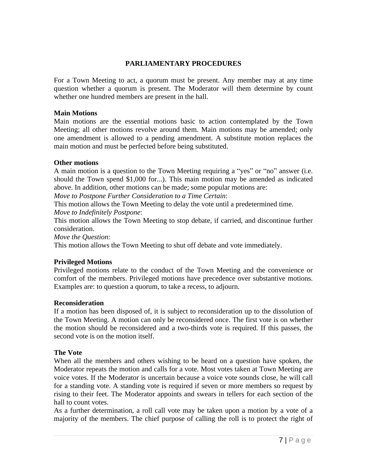# **PARLIAMENTARY PROCEDURES**

For a Town Meeting to act, a quorum must be present. Any member may at any time question whether a quorum is present. The Moderator will them determine by count whether one hundred members are present in the hall.

#### **Main Motions**

Main motions are the essential motions basic to action contemplated by the Town Meeting; all other motions revolve around them. Main motions may be amended; only one amendment is allowed to a pending amendment. A substitute motion replaces the main motion and must be perfected before being substituted.

# **Other motions**

A main motion is a question to the Town Meeting requiring a "yes" or "no" answer (i.e. should the Town spend \$1,000 for...). This main motion may be amended as indicated above. In addition, other motions can be made; some popular motions are:

*Move to Postpone Further Consideration to a Time Certain*:

This motion allows the Town Meeting to delay the vote until a predetermined time. *Move to Indefinitely Postpone*:

This motion allows the Town Meeting to stop debate, if carried, and discontinue further consideration.

*Move the Question*:

This motion allows the Town Meeting to shut off debate and vote immediately.

# **Privileged Motions**

Privileged motions relate to the conduct of the Town Meeting and the convenience or comfort of the members. Privileged motions have precedence over substantive motions. Examples are: to question a quorum, to take a recess, to adjourn.

# **Reconsideration**

If a motion has been disposed of, it is subject to reconsideration up to the dissolution of the Town Meeting. A motion can only be reconsidered once. The first vote is on whether the motion should be reconsidered and a two-thirds vote is required. If this passes, the second vote is on the motion itself.

# **The Vote**

When all the members and others wishing to be heard on a question have spoken, the Moderator repeats the motion and calls for a vote. Most votes taken at Town Meeting are voice votes. If the Moderator is uncertain because a voice vote sounds close, he will call for a standing vote. A standing vote is required if seven or more members so request by rising to their feet. The Moderator appoints and swears in tellers for each section of the hall to count votes.

As a further determination, a roll call vote may be taken upon a motion by a vote of a majority of the members. The chief purpose of calling the roll is to protect the right of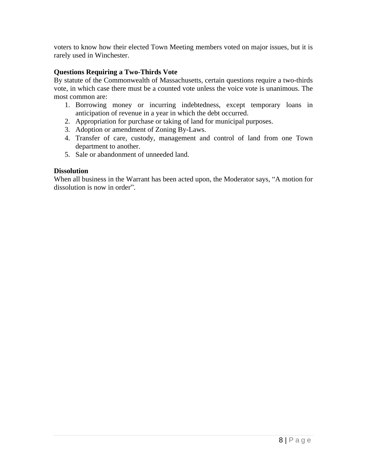voters to know how their elected Town Meeting members voted on major issues, but it is rarely used in Winchester.

# **Questions Requiring a Two-Thirds Vote**

By statute of the Commonwealth of Massachusetts, certain questions require a two-thirds vote, in which case there must be a counted vote unless the voice vote is unanimous. The most common are:

- 1. Borrowing money or incurring indebtedness, except temporary loans in anticipation of revenue in a year in which the debt occurred.
- 2. Appropriation for purchase or taking of land for municipal purposes.
- 3. Adoption or amendment of Zoning By-Laws.
- 4. Transfer of care, custody, management and control of land from one Town department to another.
- 5. Sale or abandonment of unneeded land.

# **Dissolution**

When all business in the Warrant has been acted upon, the Moderator says, "A motion for dissolution is now in order".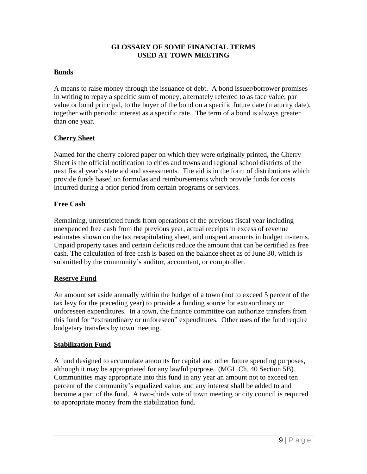# **GLOSSARY OF SOME FINANCIAL TERMS USED AT TOWN MEETING**

# **Bonds**

A means to raise money through the issuance of debt. A bond issuer/borrower promises in writing to repay a specific sum of money, alternately referred to as face value, par value or bond principal, to the buyer of the bond on a specific future date (maturity date), together with periodic interest as a specific rate. The term of a bond is always greater than one year.

# **Cherry Sheet**

Named for the cherry colored paper on which they were originally printed, the Cherry Sheet is the official notification to cities and towns and regional school districts of the next fiscal year's state aid and assessments. The aid is in the form of distributions which provide funds based on formulas and reimbursements which provide funds for costs incurred during a prior period from certain programs or services.

# **Free Cash**

Remaining, unrestricted funds from operations of the previous fiscal year including unexpended free cash from the previous year, actual receipts in excess of revenue estimates shown on the tax recapitulating sheet, and unspent amounts in budget in-items. Unpaid property taxes and certain deficits reduce the amount that can be certified as free cash. The calculation of free cash is based on the balance sheet as of June 30, which is submitted by the community's auditor, accountant, or comptroller.

# **Reserve Fund**

An amount set aside annually within the budget of a town (not to exceed 5 percent of the tax levy for the preceding year) to provide a funding source for extraordinary or unforeseen expenditures. In a town, the finance committee can authorize transfers from this fund for "extraordinary or unforeseen" expenditures. Other uses of the fund require budgetary transfers by town meeting.

# **Stabilization Fund**

A fund designed to accumulate amounts for capital and other future spending purposes, although it may be appropriated for any lawful purpose. (MGL Ch. 40 Section 5B). Communities may appropriate into this fund in any year an amount not to exceed ten percent of the community's equalized value, and any interest shall be added to and become a part of the fund. A two-thirds vote of town meeting or city council is required to appropriate money from the stabilization fund.